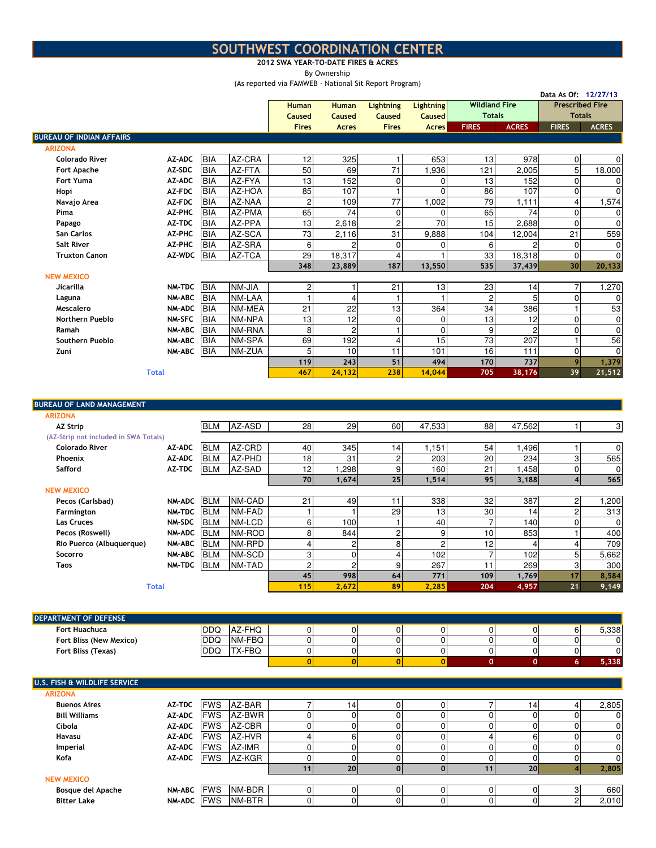## SOUTHWEST COORDINATION CENTER

## 2012 SWA YEAR-TO-DATE FIRES & ACRES

By Ownership

(As reported via FAMWEB - National Sit Report Program)

|                                         |                  |                          |                  | (As reported via FAMWEB - National Sit Report Program) |                |                           |                |                      |                |                        | Data As Of: 12/27/13 |
|-----------------------------------------|------------------|--------------------------|------------------|--------------------------------------------------------|----------------|---------------------------|----------------|----------------------|----------------|------------------------|----------------------|
|                                         |                  |                          |                  | <b>Human</b>                                           | <b>Human</b>   | <b>Lightning</b>          | Lightning      | <b>Wildland Fire</b> |                | <b>Prescribed Fire</b> |                      |
|                                         |                  |                          |                  | Caused                                                 | <b>Caused</b>  | <b>Caused</b>             | <b>Caused</b>  | <b>Totals</b>        |                | <b>Totals</b>          |                      |
|                                         |                  |                          |                  | <b>Fires</b>                                           | <b>Acres</b>   | <b>Fires</b>              | <b>Acres</b>   | <b>FIRES</b>         | <b>ACRES</b>   | <b>FIRES</b>           | <b>ACRES</b>         |
| <b>BUREAU OF INDIAN AFFAIRS</b>         |                  |                          |                  |                                                        |                |                           |                |                      |                |                        |                      |
| <b>ARIZONA</b>                          |                  |                          |                  |                                                        |                |                           |                |                      |                |                        |                      |
| <b>Colorado River</b>                   | AZ-ADC<br>AZ-SDC | <b>BIA</b>               | AZ-CRA<br>AZ-FTA | 12<br>50                                               | 325            | 1<br>71                   | 653            | 13                   | 978            | 0                      | $\mathbf 0$          |
| <b>Fort Apache</b><br><b>Fort Yuma</b>  | AZ-ADC           | <b>BIA</b><br><b>BIA</b> | AZ-FYA           | 13                                                     | 69<br>152      |                           | 1,936<br>0     | 121<br>13            | 2,005<br>152   | 5<br>$\mathbf 0$       | 18,000<br>0          |
| Hopi                                    | AZ-FDC           | <b>BIA</b>               | AZ-HOA           | 85                                                     | 107            | $\pmb{0}$<br>$\mathbf{1}$ | $\Omega$       | 86                   | 107            | 0                      | $\mathbf 0$          |
| Navajo Area                             | AZ-FDC           | <b>BIA</b>               | AZ-NAA           | $\overline{c}$                                         | 109            | 77                        | 1,002          | 79                   | 1,111          | 4                      | 1,574                |
| Pima                                    | <b>AZ-PHC</b>    | <b>BIA</b>               | AZ-PMA           | 65                                                     | 74             | $\mathbf 0$               | $\Omega$       | 65                   | 74             | $\mathbf 0$            | 0                    |
| Papago                                  | AZ-TDC           | <b>BIA</b>               | AZ-PPA           | 13                                                     | 2,618          | $\overline{c}$            | 70             | 15                   | 2,688          | $\mathbf 0$            | $\mathbf 0$          |
| San Carlos                              | AZ-PHC           | <b>BIA</b>               | AZ-SCA           | 73                                                     | 2,116          | 31                        | 9,888          | 104                  | 12,004         | 21                     | 559                  |
| <b>Salt River</b>                       | <b>AZ-PHC</b>    | <b>BIA</b>               | AZ-SRA           | 6                                                      | 2              | 0                         | 0              | 6                    | 2              | 0                      | 0                    |
| <b>Truxton Canon</b>                    | AZ-WDC           | <b>BIA</b>               | AZ-TCA           | 29                                                     | 18,317         | $\overline{4}$            | 1              | 33                   | 18,318         | $\mathbf 0$            | $\mathbf 0$          |
|                                         |                  |                          |                  | 348                                                    | 23,889         | 187                       | 13,550         | 535                  | 37,439         | 30                     | 20,133               |
| <b>NEW MEXICO</b>                       |                  |                          |                  |                                                        |                |                           |                |                      |                |                        |                      |
| Jicarilla                               | NM-TDC           | <b>BIA</b>               | <b>NM-JIA</b>    | $\overline{c}$                                         | 1              | 21                        | 13             | 23                   | 14             | 7                      | 1,270                |
| Laguna                                  | <b>NM-ABC</b>    | <b>BIA</b>               | NM-LAA           | $\mathbf{1}$                                           | $\overline{4}$ | $\mathbf{1}$              |                | $\overline{c}$       | 5              | 0                      | 0                    |
| Mescalero                               | <b>NM-ADC</b>    | BIA                      | NM-MEA           | 21                                                     | 22             | 13                        | 364            | 34                   | 386            | 1                      | 53                   |
| Northern Pueblo                         | <b>NM-SFC</b>    | BIA                      | NM-NPA           | 13                                                     | 12             | 0                         | 0              | 13                   | 12             | 0                      | 0                    |
| Ramah                                   | <b>NM-ABC</b>    | <b>BIA</b>               | NM-RNA           | 8                                                      | $\overline{c}$ | $\mathbf{1}$              | 0              | 9                    | $\overline{c}$ | 0                      | $\mathbf 0$          |
| Southern Pueblo                         | <b>NM-ABC</b>    | <b>BIA</b>               | NM-SPA           | 69                                                     | 192            | $\overline{4}$            | 15             | 73                   | 207            | 1                      | 56                   |
| Zuni                                    | <b>NM-ABC</b>    | <b>BIA</b>               | NM-ZUA           | 5                                                      | 10             | 11                        | 101            | 16                   | 111            | 0                      | $\mathbf 0$          |
|                                         |                  |                          |                  | 119                                                    | 243            | 51                        | 494            | 170                  | 737            | 9                      | 1,379                |
|                                         | <b>Total</b>     |                          |                  | 467                                                    | 24,132         | 238                       | 14,044         | 705                  | 38,176         | 39                     | 21,512               |
|                                         |                  |                          |                  |                                                        |                |                           |                |                      |                |                        |                      |
| <b>BUREAU OF LAND MANAGEMENT</b>        |                  |                          |                  |                                                        |                |                           |                |                      |                |                        |                      |
| <b>ARIZONA</b>                          |                  |                          |                  |                                                        |                |                           |                |                      |                |                        |                      |
| <b>AZ Strip</b>                         |                  | <b>BLM</b>               | AZ-ASD           | 28                                                     | 29             | 60                        | 47,533         | 88                   | 47,562         | 1                      | 3                    |
| (AZ-Strip not included in SWA Totals)   |                  |                          |                  |                                                        |                |                           |                |                      |                |                        |                      |
| <b>Colorado River</b>                   | AZ-ADC           | <b>BLM</b>               | AZ-CRD           | 40                                                     | 345            | 14                        | 1,151          | 54                   | 1,496          | 1                      | $\mathbf 0$          |
| Phoenix                                 | AZ-ADC           | <b>BLM</b>               | AZ-PHD           | 18                                                     | 31             | $\overline{c}$            | 203            | 20                   | 234            | 3                      | 565                  |
| Safford                                 | AZ-TDC           | <b>BLM</b>               | AZ-SAD           | 12                                                     | 1,298          | 9                         | 160            | 21                   | 1,458          | $\mathbf 0$            | 0                    |
|                                         |                  |                          |                  | 70                                                     | 1,674          | 25                        | 1,514          | 95                   | 3,188          | 4                      | 565                  |
| <b>NEW MEXICO</b>                       |                  |                          |                  |                                                        |                |                           |                |                      |                |                        |                      |
| Pecos (Carlsbad)                        | <b>NM-ADC</b>    | <b>BLM</b>               | NM-CAD           | 21                                                     | 49             | 11                        | 338            | 32                   | 387            | 2                      | 1,200                |
| Farmington                              | <b>NM-TDC</b>    | <b>IBLM</b>              | NM-FAD           | $\mathbf{1}$                                           |                | 29                        | 13             | $30\,$               | 14             | $\overline{c}$         | 313                  |
| Las Cruces                              | NM-SDC           | <b>BLM</b>               | NM-LCD           | 6                                                      | 100            | $\mathbf{1}$              | 40             | $\overline{7}$       | 140            | 0                      | 0                    |
| Pecos (Roswell)                         | <b>NM-ADC</b>    | <b>BLM</b>               | NM-ROD           | 8                                                      | 844            | $\overline{c}$            | 9              | 10                   | 853            | 1                      | 400                  |
| Rio Puerco (Albuquerque)                | <b>NM-ABC</b>    | <b>BLM</b>               | NM-RPD           | $\overline{4}$                                         | $\overline{c}$ | 8                         | $\overline{c}$ | 12                   | 4              | 4                      | 709                  |
| Socorro                                 | <b>NM-ABC</b>    | <b>BLM</b>               | NM-SCD           | 3                                                      | $\overline{0}$ | 4                         | 102            | $\overline{7}$       | 102            | 5                      | 5,662                |
| <b>Taos</b>                             | NM-TDC BLM       |                          | NM-TAD           | $\overline{c}$                                         | 2              | 9                         | 267            | 11                   | 269            | 3                      | 300                  |
|                                         |                  |                          |                  | 45                                                     | 998            | 64                        | 771            | 109                  | 1,769          | 17                     | 8,584                |
|                                         | <b>Total</b>     |                          |                  | 115                                                    | 2,672          | 89                        | 2,285          | 204                  | 4,957          | 21                     | 9,149                |
|                                         |                  |                          |                  |                                                        |                |                           |                |                      |                |                        |                      |
| DEPARTMENT OF DEFENSE                   |                  |                          |                  |                                                        |                |                           |                |                      |                |                        |                      |
| Fort Huachuca                           |                  | <b>DDQ</b>               | AZ-FHQ           | $\overline{0}$                                         | $\overline{0}$ | $\mathbf 0$               | $\overline{0}$ | $\overline{0}$       | $\mathbf 0$    | 6                      | 5,338                |
| Fort Bliss (New Mexico)                 |                  | <b>DDQ</b>               | NM-FBQ           | $\mathbf 0$                                            | $\overline{0}$ | $\mathbf 0$               | 0              | $\overline{0}$       | $\overline{0}$ | $\mathbf 0$            | 0                    |
| Fort Bliss (Texas)                      |                  | <b>DDQ</b>               | TX-FBQ           | $\mathbf 0$                                            | $\mathbf 0$    | 0                         | $\pmb{0}$      | $\overline{0}$       | $\overline{0}$ | 0                      | $\mathbf 0$          |
|                                         |                  |                          |                  | 0                                                      | $\overline{0}$ | $\bf{0}$                  | $\overline{0}$ | $\overline{0}$       | $\mathbf{o}$   | 6                      | 5,338                |
|                                         |                  |                          |                  |                                                        |                |                           |                |                      |                |                        |                      |
| <b>U.S. FISH &amp; WILDLIFE SERVICE</b> |                  |                          |                  |                                                        |                |                           |                |                      |                |                        |                      |

| <b>ARIZONA</b>       |               |             |               |    |    |  |    |       |
|----------------------|---------------|-------------|---------------|----|----|--|----|-------|
| <b>Buenos Aires</b>  | <b>AZ-TDC</b> | <b>FWS</b>  | AZ-BAR        |    | 14 |  | 4  | 2,805 |
| <b>Bill Williams</b> | AZ-ADC        | <b>FWS</b>  | AZ-BWR        |    |    |  |    |       |
| Cibola               | <b>AZ-ADC</b> | <b>IFWS</b> | AZ-CBR        |    |    |  |    |       |
| <b>Havasu</b>        | <b>AZ-ADC</b> | <b>FWS</b>  | AZ-HVR        |    | 6  |  |    |       |
| Imperial             | <b>AZ-ADC</b> | <b>IFWS</b> | AZ-IMR        |    |    |  |    |       |
| Kofa                 | <b>AZ-ADC</b> | <b>IFWS</b> | AZ-KGR        |    |    |  |    |       |
|                      |               |             |               | 11 | 20 |  | 20 | 2,805 |
| <b>NEW MEXICO</b>    |               |             |               |    |    |  |    |       |
| Bosque del Apache    | NM-ABC FWS    |             | <b>NM-BDR</b> |    |    |  |    | 660   |
| <b>Bitter Lake</b>   | NM-ADC FWS    |             | NM-BTR        |    |    |  |    | 2,010 |
|                      |               |             |               |    |    |  |    |       |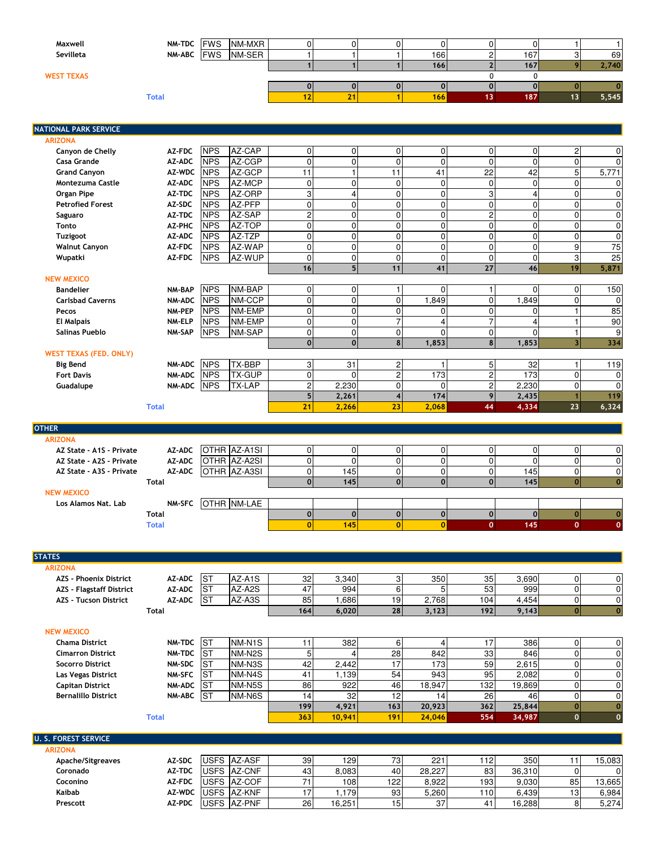| Maxwell           |              | NM-TDC FWS NM-MXR |    |                  |     |     |       |
|-------------------|--------------|-------------------|----|------------------|-----|-----|-------|
| Sevilleta         | NM-ABC FWS   | NM-SER            |    | 166              |     | 167 | 69    |
|                   |              |                   |    | <b>166</b>       |     | 167 | 2,740 |
| <b>WEST TEXAS</b> |              |                   |    |                  |     |     |       |
|                   |              |                   |    |                  |     |     |       |
|                   | <b>Total</b> |                   | 21 | 166 <sub>1</sub> | 13. | 187 | 5,545 |
|                   |              |                   |    |                  |     |     |       |

| <b>NATIONAL PARK SERVICE</b>  |               |            |               |                |                |                 |                         |                |                         |                         |                 |
|-------------------------------|---------------|------------|---------------|----------------|----------------|-----------------|-------------------------|----------------|-------------------------|-------------------------|-----------------|
| <b>ARIZONA</b>                |               |            |               |                |                |                 |                         |                |                         |                         |                 |
| Canyon de Chelly              | AZ-FDC        | <b>NPS</b> | AZ-CAP        | $\overline{0}$ | $\Omega$       | $\mathbf 0$     | $\mathbf 0$             | $\overline{0}$ | $\Omega$                | 2                       | $\mathbf 0$     |
| <b>Casa Grande</b>            | AZ-ADC        | <b>NPS</b> | AZ-CGP        | $\mathbf 0$    | $\Omega$       | $\mathbf 0$     | $\mathbf 0$             | $\mathbf 0$    | $\Omega$                | 0                       | $\mathbf 0$     |
| <b>Grand Canyon</b>           | AZ-WDC        | <b>NPS</b> | AZ-GCP        | 11             | 1              | $\overline{11}$ | 41                      | 22             | 42                      | 5                       | 5,771           |
| <b>Montezuma Castle</b>       | AZ-ADC        | <b>NPS</b> | AZ-MCP        | $\overline{0}$ | $\Omega$       | $\mathbf 0$     | $\mathbf 0$             | $\overline{0}$ | $\Omega$                | $\Omega$                | $\mathbf 0$     |
| Organ Pipe                    | AZ-TDC        | <b>NPS</b> | AZ-ORP        | $\overline{3}$ | 4              | $\mathbf 0$     | $\mathbf 0$             | 3              | $\overline{\mathbf{A}}$ | $\Omega$                | $\mathbf 0$     |
| <b>Petrofied Forest</b>       | AZ-SDC        | <b>NPS</b> | AZ-PFP        | $\overline{0}$ | $\Omega$       | $\mathbf 0$     | $\mathbf 0$             | $\overline{0}$ | $\Omega$                | 0                       | $\mathbf 0$     |
| Saguaro                       | AZ-TDC        | <b>NPS</b> | AZ-SAP        | $\overline{2}$ | $\Omega$       | $\mathbf 0$     | $\mathbf 0$             | $\overline{c}$ | $\Omega$                | 0                       | $\mathbf 0$     |
| <b>Tonto</b>                  | AZ-PHC        | <b>NPS</b> | AZ-TOP        | $\overline{0}$ | $\overline{0}$ | $\mathbf 0$     | $\mathbf 0$             | $\overline{0}$ | $\mathbf 0$             | 0                       | 0               |
| <b>Tuzigoot</b>               | AZ-ADC        | <b>NPS</b> | AZ-TZP        | $\overline{0}$ | $\Omega$       | $\mathbf 0$     | $\Omega$                | $\overline{0}$ | $\Omega$                | 0                       | $\mathbf 0$     |
| <b>Walnut Canyon</b>          | AZ-FDC        | <b>NPS</b> | AZ-WAP        | $\overline{0}$ | $\Omega$       | $\mathbf 0$     | $\Omega$                | $\overline{0}$ | $\Omega$                | 9                       | $\overline{75}$ |
| Wupatki                       | AZ-FDC        | <b>NPS</b> | AZ-WUP        | $\Omega$       | $\Omega$       | $\mathbf 0$     | $\Omega$                | $\Omega$       | $\Omega$                | 3                       | 25              |
|                               |               |            |               | 16             | 5 <sup>1</sup> | 11              | 41                      | 27             | 46                      | 19                      | 5,871           |
| <b>NEW MEXICO</b>             |               |            |               |                |                |                 |                         |                |                         |                         |                 |
| <b>Bandelier</b>              | <b>NM-BAP</b> | <b>NPS</b> | NM-BAP        | $\overline{0}$ | $\Omega$       | 1               | $\Omega$                | $\mathbf{1}$   | $\Omega$                | $\overline{0}$          | 150             |
| <b>Carlsbad Caverns</b>       | <b>NM-ADC</b> | <b>NPS</b> | NM-CCP        | $\overline{0}$ | $\Omega$       | $\mathbf 0$     | 1,849                   | $\overline{0}$ | 1,849                   | 0                       | $\mathbf 0$     |
| Pecos                         | NM-PEP        | <b>NPS</b> | NM-EMP        | $\overline{0}$ | $\Omega$       | 0               | $\Omega$                | $\overline{0}$ | $\Omega$                |                         | 85              |
| <b>El Malpais</b>             | NM-ELP        | <b>NPS</b> | NM-EMP        | $\Omega$       | $\Omega$       | $\overline{7}$  | $\overline{\mathbf{4}}$ | $\overline{7}$ | Δ                       |                         | 90              |
| <b>Salinas Pueblo</b>         | NM-SAP        | <b>NPS</b> | NM-SAP        | $\overline{0}$ | $\overline{0}$ | $\mathbf 0$     | $\Omega$                | $\overline{0}$ | $\Omega$                | 1                       | 9               |
|                               |               |            |               | $\mathbf{0}$   | $\mathbf{0}$   | 8               | 1,853                   | 8 <sup>1</sup> | 1,853                   | $\overline{\mathbf{3}}$ | 334             |
| <b>WEST TEXAS (FED. ONLY)</b> |               |            |               |                |                |                 |                         |                |                         |                         |                 |
| <b>Big Bend</b>               | <b>NM-ADC</b> | <b>NPS</b> | <b>TX-BBP</b> | 3              | 31             | $\overline{c}$  | 1                       | 5              | 32                      |                         | 119             |
| <b>Fort Davis</b>             | <b>NM-ADC</b> | <b>NPS</b> | <b>TX-GUP</b> | $\Omega$       | $\Omega$       | $\overline{2}$  | 173                     | $\overline{2}$ | 173                     | 0                       | $\mathbf 0$     |
| Guadalupe                     | <b>NM-ADC</b> | <b>NPS</b> | <b>TX-LAP</b> | $\overline{2}$ | 2.230          | $\mathbf 0$     | $\Omega$                | $\overline{c}$ | 2.230                   | 0                       | $\Omega$        |
|                               |               |            |               | 5              | 2,261          | $\overline{4}$  | 174                     | 9              | 2,435                   |                         | 119             |
|                               | <b>Total</b>  |            |               | 21             | 2,266          | 23              | 2,068                   | 44             | 4,334                   | 23                      | 6,324           |
|                               |               |            |               |                |                |                 |                         |                |                         |                         |                 |
| <b>OTHER</b>                  |               |            |               |                |                |                 |                         |                |                         |                         |                 |
| <b>ARIZONA</b>                |               |            |               |                |                |                 |                         |                |                         |                         |                 |
| AZ State - A1S - Private      | AZ-ADC        |            | OTHR AZ-A1SI  | $\overline{0}$ | $\Omega$       | $\mathbf 0$     | $\mathbf 0$             | $\overline{0}$ | $\Omega$                | $\Omega$                | $\mathbf 0$     |
| AZ State - A2S - Private      | AZ-ADC        |            | OTHR AZ-A2SI  | $\Omega$       | $\Omega$       | $\Omega$        | $\mathbf 0$             | $\Omega$       | $\Omega$                | 0                       | $\mathbf 0$     |
| AZ State - A3S - Private      | AZ-ADC        |            | OTHR AZ-A3SI  | $\overline{0}$ | 145            | 0               | $\mathbf 0$             | $\overline{0}$ | 145                     | 0                       | 0               |
|                               | <b>Total</b>  |            |               | $\Omega$       | 145            | $\mathbf{0}$    | $\mathbf 0$             | $\mathbf{0}$   | 145                     | $\overline{0}$          | $\mathbf{0}$    |
| <b>NEW MEXICO</b>             |               |            |               |                |                |                 |                         |                |                         |                         |                 |
| Los Alamos Nat. Lab           | <b>NM-SFC</b> |            | OTHR NM-LAE   |                |                |                 |                         |                |                         |                         |                 |
|                               | Total         |            |               | $\mathbf 0$    | $\Omega$       | $\mathbf{0}$    | $\mathbf 0$             | $\mathbf{0}$   | $\Omega$                | $\overline{0}$          | $\mathbf 0$     |
|                               | <b>Total</b>  |            |               | $\mathbf{0}$   | 145            | $\overline{0}$  | $\mathbf{0}$            | $\mathbf{0}$   | 145                     | $\mathbf{O}$            | $\mathbf{0}$    |

| <b>STATES</b>                   |               |             |             |     |        |     |        |     |        |                |                |
|---------------------------------|---------------|-------------|-------------|-----|--------|-----|--------|-----|--------|----------------|----------------|
| <b>ARIZONA</b>                  |               |             |             |     |        |     |        |     |        |                |                |
| <b>AZS - Phoenix District</b>   | <b>AZ-ADC</b> | <b>ST</b>   | AZ-A1S      | 32  | 3,340  | 3   | 350    | 35  | 3,690  | 0              | $\overline{0}$ |
| <b>AZS - Flagstaff District</b> | AZ-ADC        | <b>ST</b>   | AZ-A2S      | 47  | 994    | 6   | 5      | 53  | 999    | $\overline{0}$ | $\overline{0}$ |
| <b>AZS - Tucson District</b>    | <b>AZ-ADC</b> | <b>ST</b>   | AZ-A3S      | 85  | .686   | 19  | 2,768  | 104 | 4,454  | 0              | $\overline{0}$ |
|                                 | <b>Total</b>  |             |             | 164 | 6,020  | 28  | 3,123  | 192 | 9,143  | οl             | $\mathbf{0}$   |
| <b>NEW MEXICO</b>               |               |             |             |     |        |     |        |     |        |                |                |
| <b>Chama District</b>           | <b>NM-TDC</b> | <b>ST</b>   | NM-N1S      | 11  | 382    | 6   | 4      | 17  | 386    | $\Omega$       | $\mathbf 0$    |
| <b>Cimarron District</b>        | NM-TDC        | <b>ST</b>   | NM-N2S      | 5   |        | 28  | 842    | 33  | 846    | 0              | $\mathbf 0$    |
| <b>Socorro District</b>         | NM-SDC        | <b>ST</b>   | NM-N3S      | 42  | 2,442  | 17  | 173    | 59  | 2,615  | $\overline{0}$ | $\mathbf 0$    |
| Las Vegas District              | <b>NM-SFC</b> | <b>ST</b>   | NM-N4S      | 41  | 1,139  | 54  | 943    | 95  | 2,082  | $\Omega$       | $\mathbf 0$    |
| <b>Capitan District</b>         | <b>NM-ADC</b> | <b>ST</b>   | NM-N5S      | 86  | 922    | 46  | 18,947 | 132 | 19,869 | $\Omega$       | $\overline{0}$ |
| <b>Bernalillo District</b>      | <b>NM-ABC</b> | <b>ST</b>   | NM-N6S      | 14  | 32     | 12  | 14     | 26  | 46     | 0              | $\overline{0}$ |
|                                 |               |             |             | 199 | 4,921  | 163 | 20,923 | 362 | 25,844 | $\Omega$       | $\mathbf{0}$   |
|                                 | <b>Total</b>  |             |             | 363 | 10,941 | 191 | 24,046 | 554 | 34,987 | $\mathbf{0}$   | $\mathbf{0}$   |
|                                 |               |             |             |     |        |     |        |     |        |                |                |
| <b>U. S. FOREST SERVICE</b>     |               |             |             |     |        |     |        |     |        |                |                |
| <b>ARIZONA</b>                  |               |             |             |     |        |     |        |     |        |                |                |
| Apache/Sitgreaves               | AZ-SDC        |             | USFS AZ-ASF | 39  | 129    | 73  | 221    | 112 | 350    | 11             | 15,083         |
| Coronado                        | AZ-TDC        | <b>USFS</b> | AZ-CNF      | 43  | 8,083  | 40  | 28,227 | 83  | 36,310 | $\Omega$       | $\overline{0}$ |
| Coconino                        | AZ-FDC        |             | USFS AZ-COF | 71  | 108    | 122 | 8,922  | 193 | 9,030  | 85             | 13,665         |
| Kaibab                          | AZ-WDC        |             | USFS AZ-KNF | 17  | 1,179  | 93  | 5,260  | 110 | 6,439  | 13             | 6,984          |
| Prescott                        | AZ-PDC        |             | USFS AZ-PNF | 26  | 16,251 | 15  | 37     | 41  | 16.288 | 8              | 5,274          |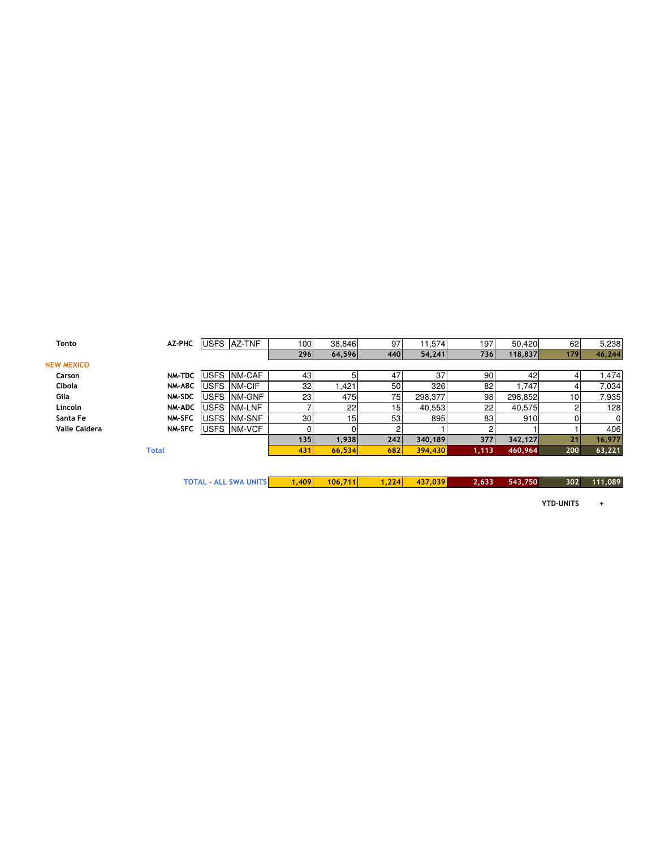| Tonto                | AZ-PHC        |             | USFS AZ-TNF          | 1001 | 38,846          | 97  | 11,574  | 197   | 50,420  | 62  | 5,238          |
|----------------------|---------------|-------------|----------------------|------|-----------------|-----|---------|-------|---------|-----|----------------|
|                      |               |             |                      | 296  | 64,596          | 440 | 54,241  | 736   | 118,837 | 179 | 46,244         |
| <b>NEW MEXICO</b>    |               |             |                      |      |                 |     |         |       |         |     |                |
| Carson               | NM-TDC        |             | <b>IUSFS INM-CAF</b> | 43   |                 | 47  | 37      | 90    | 42      |     | .474           |
| Cibola               | NM-ABC        |             | USFS NM-CIF          | 32   | .421            | 50  | 326     | 82    | .747    |     | 7,034          |
| Gila                 | NM-SDC        | <b>USFS</b> | <b>NM-GNF</b>        | 23   | 475             | 75  | 298,377 | 98    | 298,852 | 10  | 7,935          |
| Lincoln              | <b>NM-ADC</b> | <b>USFS</b> | NM-LNF               |      | 22              | 15  | 40,553  | 22    | 40,575  |     | 128            |
| Santa Fe             | <b>NM-SFC</b> | <b>USFS</b> | NM-SNF               | 30   | 15 <sub>1</sub> | 53  | 895     | 83    | 910     |     | $\overline{0}$ |
| <b>Valle Caldera</b> | <b>NM-SFC</b> |             | USFS NM-VCF          |      |                 |     |         |       |         |     | 406            |
|                      |               |             |                      | 135  | 1,938           | 242 | 340,189 | 377   | 342,127 | 21  | 16,977         |
|                      | <b>Total</b>  |             |                      | 431  | 66,534          | 682 | 394,430 | 1,113 | 460,964 | 200 | 63,221         |
|                      |               |             |                      |      |                 |     |         |       |         |     |                |

| <b>TOTAL - ALL SWA UNITS</b> | $1.409$ $106.711$ | $1,224$ $437,039$ | 2,633 543,750 | 302 111,089 |
|------------------------------|-------------------|-------------------|---------------|-------------|
|                              |                   |                   |               |             |

YTD-UNITS +